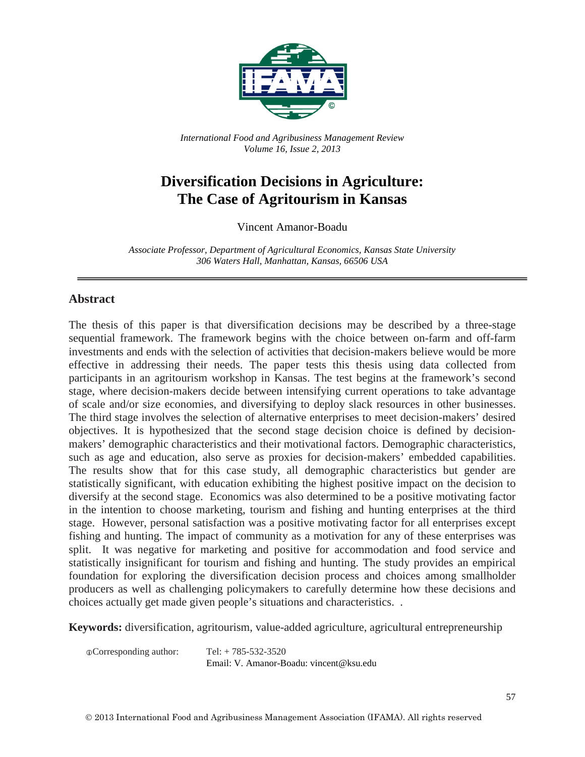

*International Food and Agribusiness Management Review Volume 16, Issue 2, 2013*

# **Diversification Decisions in Agriculture: The Case of Agritourism in Kansas**

Vincent Amanor-Boadu

*Associate Professor, Department of Agricultural Economics, Kansas State University 306 Waters Hall, Manhattan, Kansas, 66506 USA*

#### **Abstract**

The thesis of this paper is that diversification decisions may be described by a three-stage sequential framework. The framework begins with the choice between on-farm and off-farm investments and ends with the selection of activities that decision-makers believe would be more effective in addressing their needs. The paper tests this thesis using data collected from participants in an agritourism workshop in Kansas. The test begins at the framework's second stage, where decision-makers decide between intensifying current operations to take advantage of scale and/or size economies, and diversifying to deploy slack resources in other businesses. The third stage involves the selection of alternative enterprises to meet decision-makers' desired objectives. It is hypothesized that the second stage decision choice is defined by decisionmakers' demographic characteristics and their motivational factors. Demographic characteristics, such as age and education, also serve as proxies for decision-makers' embedded capabilities. The results show that for this case study, all demographic characteristics but gender are statistically significant, with education exhibiting the highest positive impact on the decision to diversify at the second stage. Economics was also determined to be a positive motivating factor in the intention to choose marketing, tourism and fishing and hunting enterprises at the third stage. However, personal satisfaction was a positive motivating factor for all enterprises except fishing and hunting. The impact of community as a motivation for any of these enterprises was split. It was negative for marketing and positive for accommodation and food service and statistically insignificant for tourism and fishing and hunting. The study provides an empirical foundation for exploring the diversification decision process and choices among smallholder producers as well as challenging policymakers to carefully determine how these decisions and choices actually get made given people's situations and characteristics. .

**Keywords:** diversification, agritourism, value-added agriculture, agricultural entrepreneurship

Corresponding author: Tel: + 785-532-3520 Email: V. Amanor-Boadu: vincent@ksu.edu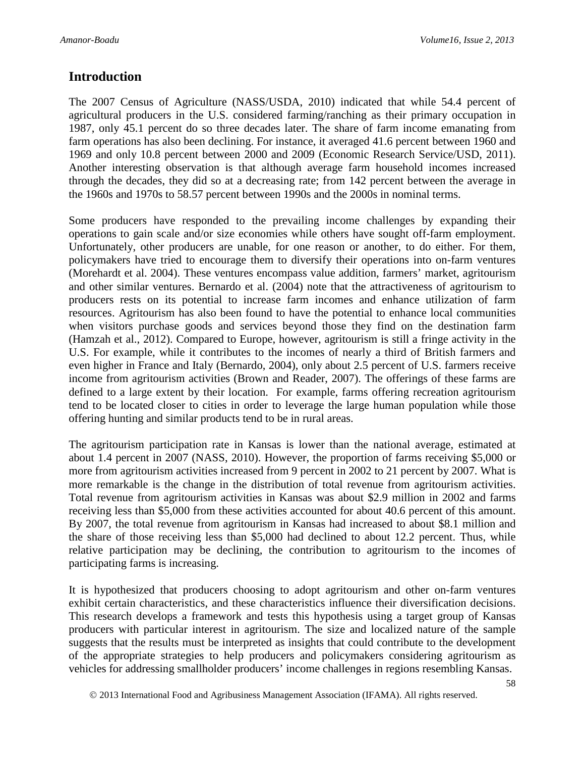## **Introduction**

The 2007 Census of Agriculture (NASS/USDA, 2010) indicated that while 54.4 percent of agricultural producers in the U.S. considered farming/ranching as their primary occupation in 1987, only 45.1 percent do so three decades later. The share of farm income emanating from farm operations has also been declining. For instance, it averaged 41.6 percent between 1960 and 1969 and only 10.8 percent between 2000 and 2009 (Economic Research Service/USD, 2011). Another interesting observation is that although average farm household incomes increased through the decades, they did so at a decreasing rate; from 142 percent between the average in the 1960s and 1970s to 58.57 percent between 1990s and the 2000s in nominal terms.

Some producers have responded to the prevailing income challenges by expanding their operations to gain scale and/or size economies while others have sought off-farm employment. Unfortunately, other producers are unable, for one reason or another, to do either. For them, policymakers have tried to encourage them to diversify their operations into on-farm ventures (Morehardt et al. 2004). These ventures encompass value addition, farmers' market, agritourism and other similar ventures. Bernardo et al. (2004) note that the attractiveness of agritourism to producers rests on its potential to increase farm incomes and enhance utilization of farm resources. Agritourism has also been found to have the potential to enhance local communities when visitors purchase goods and services beyond those they find on the destination farm (Hamzah et al., 2012). Compared to Europe, however, agritourism is still a fringe activity in the U.S. For example, while it contributes to the incomes of nearly a third of British farmers and even higher in France and Italy (Bernardo, 2004), only about 2.5 percent of U.S. farmers receive income from agritourism activities (Brown and Reader, 2007). The offerings of these farms are defined to a large extent by their location. For example, farms offering recreation agritourism tend to be located closer to cities in order to leverage the large human population while those offering hunting and similar products tend to be in rural areas.

The agritourism participation rate in Kansas is lower than the national average, estimated at about 1.4 percent in 2007 (NASS, 2010). However, the proportion of farms receiving \$5,000 or more from agritourism activities increased from 9 percent in 2002 to 21 percent by 2007. What is more remarkable is the change in the distribution of total revenue from agritourism activities. Total revenue from agritourism activities in Kansas was about \$2.9 million in 2002 and farms receiving less than \$5,000 from these activities accounted for about 40.6 percent of this amount. By 2007, the total revenue from agritourism in Kansas had increased to about \$8.1 million and the share of those receiving less than \$5,000 had declined to about 12.2 percent. Thus, while relative participation may be declining, the contribution to agritourism to the incomes of participating farms is increasing.

It is hypothesized that producers choosing to adopt agritourism and other on-farm ventures exhibit certain characteristics, and these characteristics influence their diversification decisions. This research develops a framework and tests this hypothesis using a target group of Kansas producers with particular interest in agritourism. The size and localized nature of the sample suggests that the results must be interpreted as insights that could contribute to the development of the appropriate strategies to help producers and policymakers considering agritourism as vehicles for addressing smallholder producers' income challenges in regions resembling Kansas.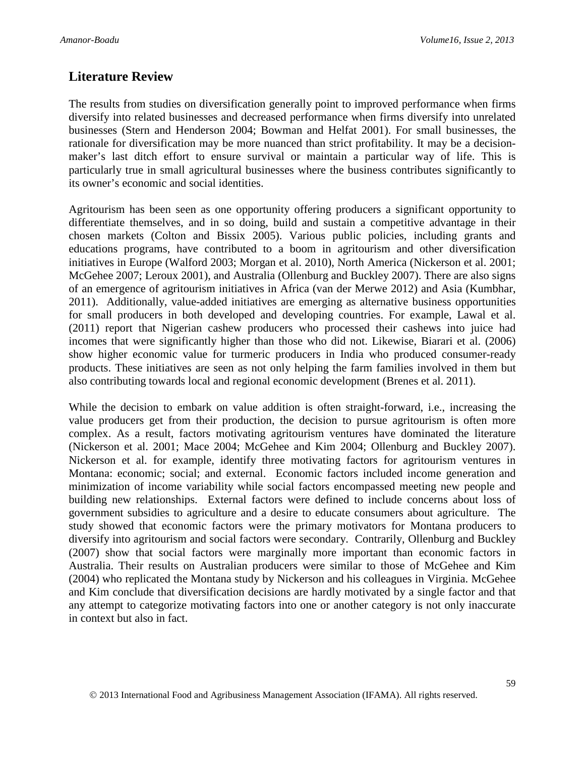## **Literature Review**

The results from studies on diversification generally point to improved performance when firms diversify into related businesses and decreased performance when firms diversify into unrelated businesses (Stern and Henderson 2004; Bowman and Helfat 2001). For small businesses, the rationale for diversification may be more nuanced than strict profitability. It may be a decisionmaker's last ditch effort to ensure survival or maintain a particular way of life. This is particularly true in small agricultural businesses where the business contributes significantly to its owner's economic and social identities.

Agritourism has been seen as one opportunity offering producers a significant opportunity to differentiate themselves, and in so doing, build and sustain a competitive advantage in their chosen markets (Colton and Bissix 2005). Various public policies, including grants and educations programs, have contributed to a boom in agritourism and other diversification initiatives in Europe (Walford 2003; Morgan et al. 2010), North America (Nickerson et al. 2001; McGehee 2007; Leroux 2001), and Australia (Ollenburg and Buckley 2007). There are also signs of an emergence of agritourism initiatives in Africa (van der Merwe 2012) and Asia (Kumbhar, 2011). Additionally, value-added initiatives are emerging as alternative business opportunities for small producers in both developed and developing countries. For example, Lawal et al. (2011) report that Nigerian cashew producers who processed their cashews into juice had incomes that were significantly higher than those who did not. Likewise, Biarari et al. (2006) show higher economic value for turmeric producers in India who produced consumer-ready products. These initiatives are seen as not only helping the farm families involved in them but also contributing towards local and regional economic development (Brenes et al. 2011).

While the decision to embark on value addition is often straight-forward, i.e., increasing the value producers get from their production, the decision to pursue agritourism is often more complex. As a result, factors motivating agritourism ventures have dominated the literature (Nickerson et al. 2001; Mace 2004; McGehee and Kim 2004; Ollenburg and Buckley 2007). Nickerson et al. for example, identify three motivating factors for agritourism ventures in Montana: economic; social; and external. Economic factors included income generation and minimization of income variability while social factors encompassed meeting new people and building new relationships. External factors were defined to include concerns about loss of government subsidies to agriculture and a desire to educate consumers about agriculture. The study showed that economic factors were the primary motivators for Montana producers to diversify into agritourism and social factors were secondary. Contrarily, Ollenburg and Buckley (2007) show that social factors were marginally more important than economic factors in Australia. Their results on Australian producers were similar to those of McGehee and Kim (2004) who replicated the Montana study by Nickerson and his colleagues in Virginia. McGehee and Kim conclude that diversification decisions are hardly motivated by a single factor and that any attempt to categorize motivating factors into one or another category is not only inaccurate in context but also in fact.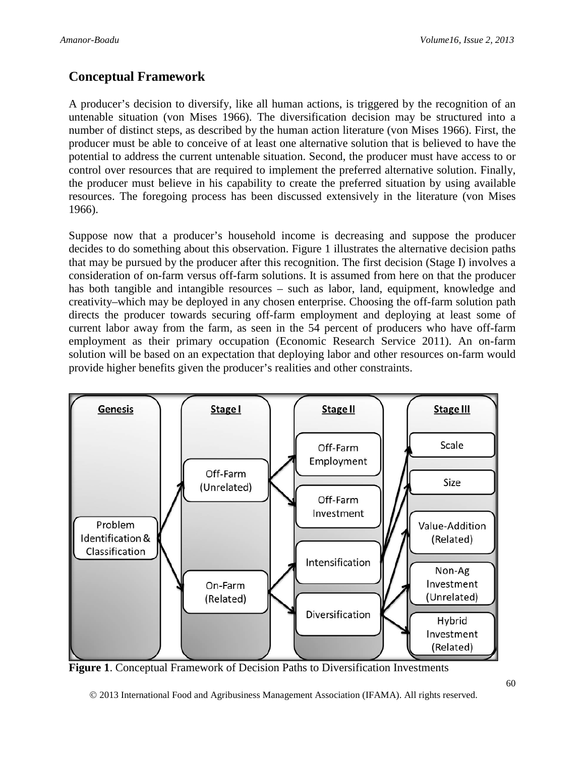# **Conceptual Framework**

A producer's decision to diversify, like all human actions, is triggered by the recognition of an untenable situation (von Mises 1966). The diversification decision may be structured into a number of distinct steps, as described by the human action literature (von Mises 1966). First, the producer must be able to conceive of at least one alternative solution that is believed to have the potential to address the current untenable situation. Second, the producer must have access to or control over resources that are required to implement the preferred alternative solution. Finally, the producer must believe in his capability to create the preferred situation by using available resources. The foregoing process has been discussed extensively in the literature (von Mises 1966).

Suppose now that a producer's household income is decreasing and suppose the producer decides to do something about this observation. Figure 1 illustrates the alternative decision paths that may be pursued by the producer after this recognition. The first decision (Stage I) involves a consideration of on-farm versus off-farm solutions. It is assumed from here on that the producer has both tangible and intangible resources – such as labor, land, equipment, knowledge and creativity–which may be deployed in any chosen enterprise. Choosing the off-farm solution path directs the producer towards securing off-farm employment and deploying at least some of current labor away from the farm, as seen in the 54 percent of producers who have off-farm employment as their primary occupation (Economic Research Service 2011). An on-farm solution will be based on an expectation that deploying labor and other resources on-farm would provide higher benefits given the producer's realities and other constraints.



**Figure 1**. Conceptual Framework of Decision Paths to Diversification Investments

2013 International Food and Agribusiness Management Association (IFAMA). All rights reserved.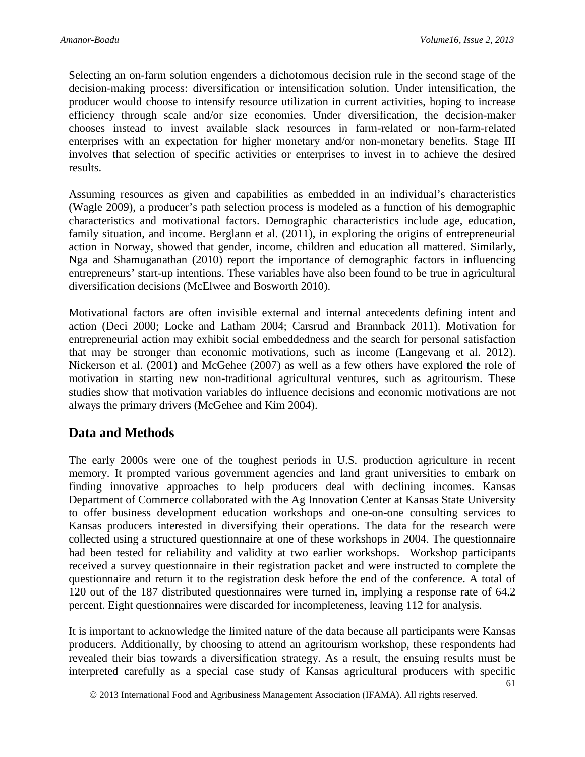Selecting an on-farm solution engenders a dichotomous decision rule in the second stage of the decision-making process: diversification or intensification solution. Under intensification, the producer would choose to intensify resource utilization in current activities, hoping to increase efficiency through scale and/or size economies. Under diversification, the decision-maker chooses instead to invest available slack resources in farm-related or non-farm-related enterprises with an expectation for higher monetary and/or non-monetary benefits. Stage III involves that selection of specific activities or enterprises to invest in to achieve the desired results.

Assuming resources as given and capabilities as embedded in an individual's characteristics (Wagle 2009), a producer's path selection process is modeled as a function of his demographic characteristics and motivational factors. Demographic characteristics include age, education, family situation, and income. Berglann et al. (2011), in exploring the origins of entrepreneurial action in Norway, showed that gender, income, children and education all mattered. Similarly, Nga and Shamuganathan (2010) report the importance of demographic factors in influencing entrepreneurs' start-up intentions. These variables have also been found to be true in agricultural diversification decisions (McElwee and Bosworth 2010).

Motivational factors are often invisible external and internal antecedents defining intent and action (Deci 2000; Locke and Latham 2004; Carsrud and Brannback 2011). Motivation for entrepreneurial action may exhibit social embeddedness and the search for personal satisfaction that may be stronger than economic motivations, such as income (Langevang et al. 2012). Nickerson et al. (2001) and McGehee (2007) as well as a few others have explored the role of motivation in starting new non-traditional agricultural ventures, such as agritourism. These studies show that motivation variables do influence decisions and economic motivations are not always the primary drivers (McGehee and Kim 2004).

### **Data and Methods**

The early 2000s were one of the toughest periods in U.S. production agriculture in recent memory. It prompted various government agencies and land grant universities to embark on finding innovative approaches to help producers deal with declining incomes. Kansas Department of Commerce collaborated with the Ag Innovation Center at Kansas State University to offer business development education workshops and one-on-one consulting services to Kansas producers interested in diversifying their operations. The data for the research were collected using a structured questionnaire at one of these workshops in 2004. The questionnaire had been tested for reliability and validity at two earlier workshops. Workshop participants received a survey questionnaire in their registration packet and were instructed to complete the questionnaire and return it to the registration desk before the end of the conference. A total of 120 out of the 187 distributed questionnaires were turned in, implying a response rate of 64.2 percent. Eight questionnaires were discarded for incompleteness, leaving 112 for analysis.

It is important to acknowledge the limited nature of the data because all participants were Kansas producers. Additionally, by choosing to attend an agritourism workshop, these respondents had revealed their bias towards a diversification strategy. As a result, the ensuing results must be interpreted carefully as a special case study of Kansas agricultural producers with specific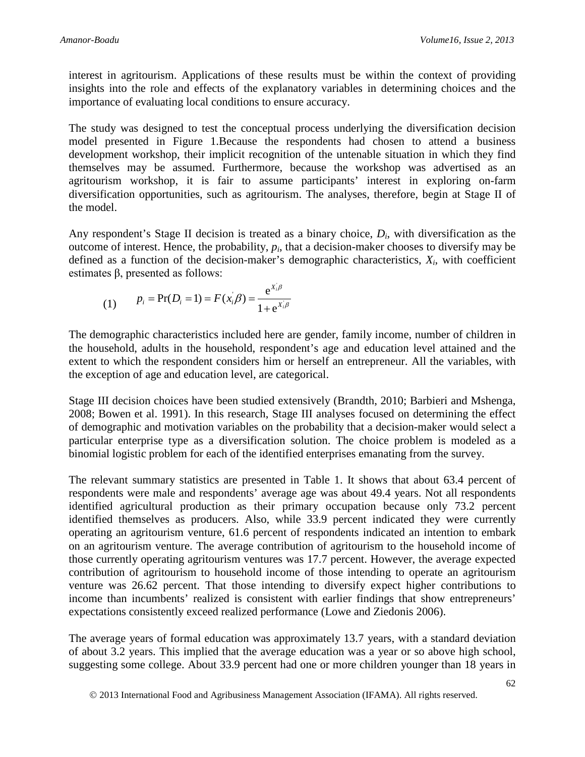interest in agritourism. Applications of these results must be within the context of providing insights into the role and effects of the explanatory variables in determining choices and the importance of evaluating local conditions to ensure accuracy.

The study was designed to test the conceptual process underlying the diversification decision model presented in Figure 1.Because the respondents had chosen to attend a business development workshop, their implicit recognition of the untenable situation in which they find themselves may be assumed. Furthermore, because the workshop was advertised as an agritourism workshop, it is fair to assume participants' interest in exploring on-farm diversification opportunities, such as agritourism. The analyses, therefore, begin at Stage II of the model.

Any respondent's Stage II decision is treated as a binary choice, *Di*, with diversification as the outcome of interest. Hence, the probability, *pi*, that a decision-maker chooses to diversify may be defined as a function of the decision-maker's demographic characteristics, *Xi*, with coefficient estimates β, presented as follows:

(1) 
$$
p_i = Pr(D_i = 1) = F(x_i|\beta) = \frac{e^{x_i \beta}}{1 + e^{x_i \beta}}
$$

The demographic characteristics included here are gender, family income, number of children in the household, adults in the household, respondent's age and education level attained and the extent to which the respondent considers him or herself an entrepreneur. All the variables, with the exception of age and education level, are categorical.

Stage III decision choices have been studied extensively (Brandth, 2010; Barbieri and Mshenga, 2008; Bowen et al. 1991). In this research, Stage III analyses focused on determining the effect of demographic and motivation variables on the probability that a decision-maker would select a particular enterprise type as a diversification solution. The choice problem is modeled as a binomial logistic problem for each of the identified enterprises emanating from the survey.

The relevant summary statistics are presented in Table 1. It shows that about 63.4 percent of respondents were male and respondents' average age was about 49.4 years. Not all respondents identified agricultural production as their primary occupation because only 73.2 percent identified themselves as producers. Also, while 33.9 percent indicated they were currently operating an agritourism venture, 61.6 percent of respondents indicated an intention to embark on an agritourism venture. The average contribution of agritourism to the household income of those currently operating agritourism ventures was 17.7 percent. However, the average expected contribution of agritourism to household income of those intending to operate an agritourism venture was 26.62 percent. That those intending to diversify expect higher contributions to income than incumbents' realized is consistent with earlier findings that show entrepreneurs' expectations consistently exceed realized performance (Lowe and Ziedonis 2006).

The average years of formal education was approximately 13.7 years, with a standard deviation of about 3.2 years. This implied that the average education was a year or so above high school, suggesting some college. About 33.9 percent had one or more children younger than 18 years in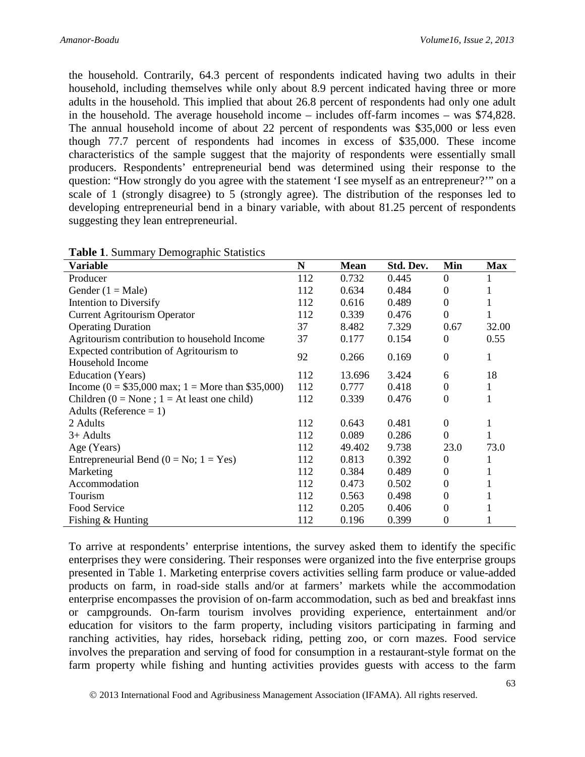the household. Contrarily, 64.3 percent of respondents indicated having two adults in their household, including themselves while only about 8.9 percent indicated having three or more adults in the household. This implied that about 26.8 percent of respondents had only one adult in the household. The average household income – includes off-farm incomes – was \$74,828. The annual household income of about 22 percent of respondents was \$35,000 or less even though 77.7 percent of respondents had incomes in excess of \$35,000. These income characteristics of the sample suggest that the majority of respondents were essentially small producers. Respondents' entrepreneurial bend was determined using their response to the question: "How strongly do you agree with the statement 'I see myself as an entrepreneur?'" on a scale of 1 (strongly disagree) to 5 (strongly agree). The distribution of the responses led to developing entrepreneurial bend in a binary variable, with about 81.25 percent of respondents suggesting they lean entrepreneurial.

| <b>Variable</b>                                       | N   | <b>Mean</b> | Std. Dev. | Min              | <b>Max</b>   |
|-------------------------------------------------------|-----|-------------|-----------|------------------|--------------|
| Producer                                              | 112 | 0.732       | 0.445     | $\Omega$         |              |
| Gender $(1 = Male)$                                   | 112 | 0.634       | 0.484     | $\Omega$         |              |
| Intention to Diversify                                | 112 | 0.616       | 0.489     | $\overline{0}$   |              |
| <b>Current Agritourism Operator</b>                   | 112 | 0.339       | 0.476     | $\Omega$         |              |
| <b>Operating Duration</b>                             | 37  | 8.482       | 7.329     | 0.67             | 32.00        |
| Agritourism contribution to household Income          | 37  | 0.177       | 0.154     | $\overline{0}$   | 0.55         |
| Expected contribution of Agritourism to               | 92  | 0.266       | 0.169     | $\boldsymbol{0}$ | $\mathbf{1}$ |
| Household Income                                      |     |             |           |                  |              |
| Education (Years)                                     | 112 | 13.696      | 3.424     | 6                | 18           |
| Income ( $0 = $35,000$ max; $1 =$ More than \$35,000) | 112 | 0.777       | 0.418     | $\Omega$         | 1            |
| Children ( $0 = None$ ; $1 = At least one child$ )    | 112 | 0.339       | 0.476     | $\Omega$         | 1            |
| Adults (Reference = $1$ )                             |     |             |           |                  |              |
| 2 Adults                                              | 112 | 0.643       | 0.481     | $\Omega$         | 1            |
| $3+$ Adults                                           | 112 | 0.089       | 0.286     | $\Omega$         |              |
| Age (Years)                                           | 112 | 49.402      | 9.738     | 23.0             | 73.0         |
| Entrepreneurial Bend ( $0 = No$ ; 1 = Yes)            | 112 | 0.813       | 0.392     | $\mathbf{0}$     | 1            |
| Marketing                                             | 112 | 0.384       | 0.489     | $\Omega$         |              |
| Accommodation                                         | 112 | 0.473       | 0.502     | $\Omega$         |              |
| Tourism                                               | 112 | 0.563       | 0.498     | $\theta$         |              |
| Food Service                                          | 112 | 0.205       | 0.406     | $\Omega$         |              |
| Fishing & Hunting                                     | 112 | 0.196       | 0.399     | $\overline{0}$   |              |

To arrive at respondents' enterprise intentions, the survey asked them to identify the specific enterprises they were considering. Their responses were organized into the five enterprise groups presented in Table 1. Marketing enterprise covers activities selling farm produce or value-added products on farm, in road-side stalls and/or at farmers' markets while the accommodation enterprise encompasses the provision of on-farm accommodation, such as bed and breakfast inns or campgrounds. On-farm tourism involves providing experience, entertainment and/or education for visitors to the farm property, including visitors participating in farming and ranching activities, hay rides, horseback riding, petting zoo, or corn mazes. Food service involves the preparation and serving of food for consumption in a restaurant-style format on the farm property while fishing and hunting activities provides guests with access to the farm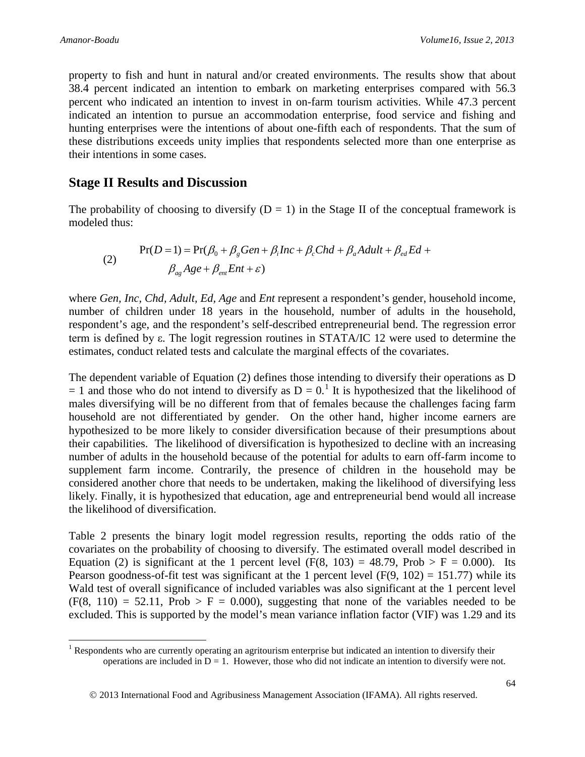property to fish and hunt in natural and/or created environments. The results show that about 38.4 percent indicated an intention to embark on marketing enterprises compared with 56.3 percent who indicated an intention to invest in on-farm tourism activities. While 47.3 percent indicated an intention to pursue an accommodation enterprise, food service and fishing and hunting enterprises were the intentions of about one-fifth each of respondents. That the sum of these distributions exceeds unity implies that respondents selected more than one enterprise as their intentions in some cases.

#### **Stage II Results and Discussion**

The probability of choosing to diversify  $(D = 1)$  in the Stage II of the conceptual framework is modeled thus:

$$
\Pr(D=1) = \Pr(\beta_0 + \beta_g Gen + \beta_i Inc + \beta_c Chd + \beta_a A dult + \beta_{ed} Ed + \beta_{ag} Age + \beta_{ent} Ent + \varepsilon)
$$

where *Gen, Inc, Chd, Adult, Ed, Age* and *Ent* represent a respondent's gender, household income, number of children under 18 years in the household, number of adults in the household, respondent's age, and the respondent's self-described entrepreneurial bend. The regression error term is defined by ε. The logit regression routines in STATA/IC 12 were used to determine the estimates, conduct related tests and calculate the marginal effects of the covariates.

The dependent variable of Equation (2) defines those intending to diversify their operations as D  $= 1$  $= 1$  and those who do not intend to diversify as  $D = 0$ .<sup>1</sup> It is hypothesized that the likelihood of males diversifying will be no different from that of females because the challenges facing farm household are not differentiated by gender. On the other hand, higher income earners are hypothesized to be more likely to consider diversification because of their presumptions about their capabilities. The likelihood of diversification is hypothesized to decline with an increasing number of adults in the household because of the potential for adults to earn off-farm income to supplement farm income. Contrarily, the presence of children in the household may be considered another chore that needs to be undertaken, making the likelihood of diversifying less likely. Finally, it is hypothesized that education, age and entrepreneurial bend would all increase the likelihood of diversification.

Table 2 presents the binary logit model regression results, reporting the odds ratio of the covariates on the probability of choosing to diversify. The estimated overall model described in Equation (2) is significant at the 1 percent level (F(8, 103) = 48.79, Prob > F = 0.000). Its Pearson goodness-of-fit test was significant at the 1 percent level  $(F(9, 102) = 151.77)$  while its Wald test of overall significance of included variables was also significant at the 1 percent level  $(F(8, 110) = 52.11, Prob > F = 0.000)$ , suggesting that none of the variables needed to be excluded. This is supported by the model's mean variance inflation factor (VIF) was 1.29 and its

<span id="page-7-0"></span> $1$  Respondents who are currently operating an agritourism enterprise but indicated an intention to diversify their operations are included in  $D = 1$ . However, those who did not indicate an intention to diversify were not.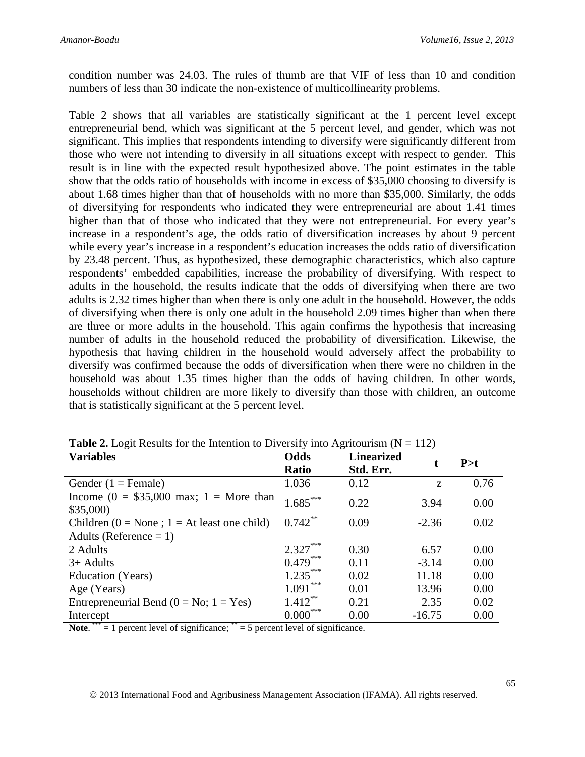condition number was 24.03. The rules of thumb are that VIF of less than 10 and condition numbers of less than 30 indicate the non-existence of multicollinearity problems.

Table 2 shows that all variables are statistically significant at the 1 percent level except entrepreneurial bend, which was significant at the 5 percent level, and gender, which was not significant. This implies that respondents intending to diversify were significantly different from those who were not intending to diversify in all situations except with respect to gender. This result is in line with the expected result hypothesized above. The point estimates in the table show that the odds ratio of households with income in excess of \$35,000 choosing to diversify is about 1.68 times higher than that of households with no more than \$35,000. Similarly, the odds of diversifying for respondents who indicated they were entrepreneurial are about 1.41 times higher than that of those who indicated that they were not entrepreneurial. For every year's increase in a respondent's age, the odds ratio of diversification increases by about 9 percent while every year's increase in a respondent's education increases the odds ratio of diversification by 23.48 percent. Thus, as hypothesized, these demographic characteristics, which also capture respondents' embedded capabilities, increase the probability of diversifying. With respect to adults in the household, the results indicate that the odds of diversifying when there are two adults is 2.32 times higher than when there is only one adult in the household. However, the odds of diversifying when there is only one adult in the household 2.09 times higher than when there are three or more adults in the household. This again confirms the hypothesis that increasing number of adults in the household reduced the probability of diversification. Likewise, the hypothesis that having children in the household would adversely affect the probability to diversify was confirmed because the odds of diversification when there were no children in the household was about 1.35 times higher than the odds of having children. In other words, households without children are more likely to diversify than those with children, an outcome that is statistically significant at the 5 percent level.

| <b>Variables</b>                                         | Odds<br><b>Linearized</b> |           | t        | P > t |  |
|----------------------------------------------------------|---------------------------|-----------|----------|-------|--|
|                                                          | <b>Ratio</b>              | Std. Err. |          |       |  |
| Gender $(1 =$ Female)                                    | 1.036                     | 0.12      | Z        | 0.76  |  |
| Income $(0 = $35,000 \text{ max}; 1 = \text{More than})$ | $1.685***$                | 0.22      | 3.94     | 0.00  |  |
| \$35,000                                                 |                           |           |          |       |  |
| Children ( $0 = None$ ; $1 = At least one child$ )       | $0.742$ **                | 0.09      | $-2.36$  | 0.02  |  |
| Adults (Reference $= 1$ )                                |                           |           |          |       |  |
| 2 Adults                                                 | $2.327***$                | 0.30      | 6.57     | 0.00  |  |
| $3+$ Adults                                              | $0.479***$                | 0.11      | $-3.14$  | 0.00  |  |
| Education (Years)                                        | $1.235***$                | 0.02      | 11.18    | 0.00  |  |
| Age (Years)                                              | $1.091***$                | 0.01      | 13.96    | 0.00  |  |
| Entrepreneurial Bend $(0 = No; 1 = Yes)$                 | $1.412***$                | 0.21      | 2.35     | 0.02  |  |
| Intercept                                                | $0.000***$                | 0.00      | $-16.75$ | 0.00  |  |

**Table 2.** Logit Results for the Intention to Diversify into Agritourism ( $N = 112$ )

Note.<sup>\*\*\*\*</sup> = 1 percent level of significance;<sup>\*\*</sup> = 5 percent level of significance.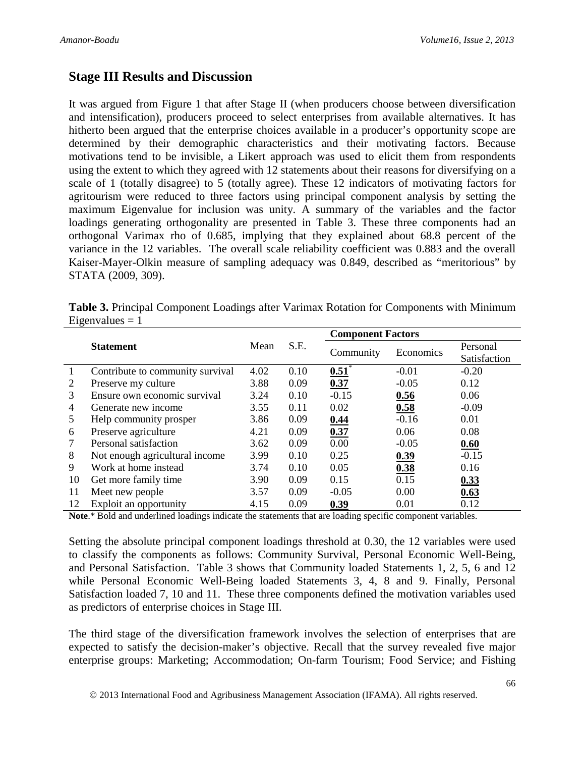#### **Stage III Results and Discussion**

It was argued from Figure 1 that after Stage II (when producers choose between diversification and intensification), producers proceed to select enterprises from available alternatives. It has hitherto been argued that the enterprise choices available in a producer's opportunity scope are determined by their demographic characteristics and their motivating factors. Because motivations tend to be invisible, a Likert approach was used to elicit them from respondents using the extent to which they agreed with 12 statements about their reasons for diversifying on a scale of 1 (totally disagree) to 5 (totally agree). These 12 indicators of motivating factors for agritourism were reduced to three factors using principal component analysis by setting the maximum Eigenvalue for inclusion was unity. A summary of the variables and the factor loadings generating orthogonality are presented in Table 3. These three components had an orthogonal Varimax rho of 0.685, implying that they explained about 68.8 percent of the variance in the 12 variables. The overall scale reliability coefficient was 0.883 and the overall Kaiser-Mayer-Olkin measure of sampling adequacy was 0.849, described as "meritorious" by STATA (2009, 309).

| Table 3. Principal Component Loadings after Varimax Rotation for Components with Minimum |  |  |
|------------------------------------------------------------------------------------------|--|--|
| Eigenvalues $= 1$                                                                        |  |  |

| <b>Statement</b> |                                  |      | S.E. | <b>Component Factors</b> |           |              |  |
|------------------|----------------------------------|------|------|--------------------------|-----------|--------------|--|
|                  |                                  | Mean |      |                          | Economics | Personal     |  |
|                  |                                  |      |      | Community                |           | Satisfaction |  |
|                  | Contribute to community survival | 4.02 | 0.10 | $0.51^*$                 | $-0.01$   | $-0.20$      |  |
| 2                | Preserve my culture              | 3.88 | 0.09 | 0.37                     | $-0.05$   | 0.12         |  |
| 3                | Ensure own economic survival     | 3.24 | 0.10 | $-0.15$                  | 0.56      | 0.06         |  |
| 4                | Generate new income              | 3.55 | 0.11 | 0.02                     | 0.58      | $-0.09$      |  |
| 5                | Help community prosper           | 3.86 | 0.09 | 0.44                     | $-0.16$   | 0.01         |  |
| 6                | Preserve agriculture             | 4.21 | 0.09 | 0.37                     | 0.06      | 0.08         |  |
|                  | Personal satisfaction            | 3.62 | 0.09 | 0.00                     | $-0.05$   | 0.60         |  |
| 8                | Not enough agricultural income   | 3.99 | 0.10 | 0.25                     | 0.39      | $-0.15$      |  |
| 9                | Work at home instead             | 3.74 | 0.10 | 0.05                     | 0.38      | 0.16         |  |
| 10               | Get more family time             | 3.90 | 0.09 | 0.15                     | 0.15      | 0.33         |  |
| 11               | Meet new people                  | 3.57 | 0.09 | $-0.05$                  | 0.00      | 0.63         |  |
| 12               | Exploit an opportunity           | 4.15 | 0.09 | 0.39                     | 0.01      | 0.12         |  |

**Note**.\* Bold and underlined loadings indicate the statements that are loading specific component variables.

Setting the absolute principal component loadings threshold at 0.30, the 12 variables were used to classify the components as follows: Community Survival, Personal Economic Well-Being, and Personal Satisfaction. Table 3 shows that Community loaded Statements 1, 2, 5, 6 and 12 while Personal Economic Well-Being loaded Statements 3, 4, 8 and 9. Finally, Personal Satisfaction loaded 7, 10 and 11. These three components defined the motivation variables used as predictors of enterprise choices in Stage III.

The third stage of the diversification framework involves the selection of enterprises that are expected to satisfy the decision-maker's objective. Recall that the survey revealed five major enterprise groups: Marketing; Accommodation; On-farm Tourism; Food Service; and Fishing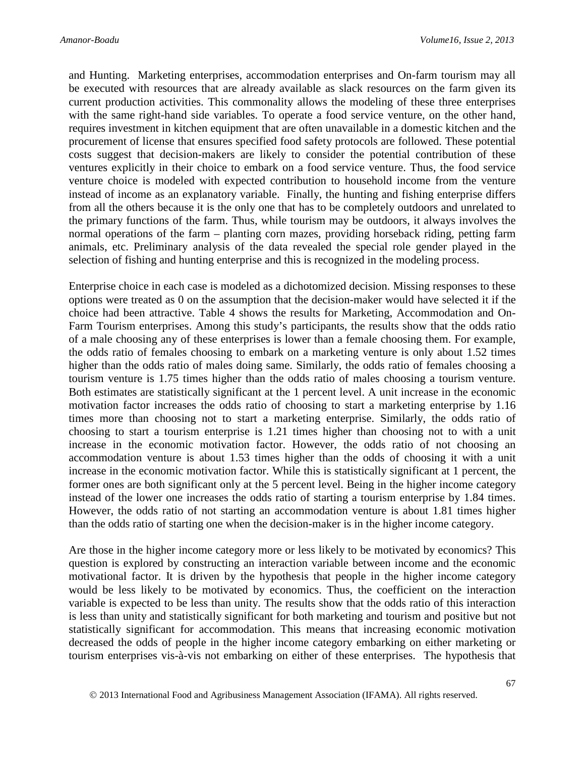and Hunting. Marketing enterprises, accommodation enterprises and On-farm tourism may all be executed with resources that are already available as slack resources on the farm given its current production activities. This commonality allows the modeling of these three enterprises with the same right-hand side variables. To operate a food service venture, on the other hand, requires investment in kitchen equipment that are often unavailable in a domestic kitchen and the procurement of license that ensures specified food safety protocols are followed. These potential costs suggest that decision-makers are likely to consider the potential contribution of these ventures explicitly in their choice to embark on a food service venture. Thus, the food service venture choice is modeled with expected contribution to household income from the venture instead of income as an explanatory variable. Finally, the hunting and fishing enterprise differs from all the others because it is the only one that has to be completely outdoors and unrelated to the primary functions of the farm. Thus, while tourism may be outdoors, it always involves the normal operations of the farm – planting corn mazes, providing horseback riding, petting farm animals, etc. Preliminary analysis of the data revealed the special role gender played in the selection of fishing and hunting enterprise and this is recognized in the modeling process.

Enterprise choice in each case is modeled as a dichotomized decision. Missing responses to these options were treated as 0 on the assumption that the decision-maker would have selected it if the choice had been attractive. Table 4 shows the results for Marketing, Accommodation and On-Farm Tourism enterprises. Among this study's participants, the results show that the odds ratio of a male choosing any of these enterprises is lower than a female choosing them. For example, the odds ratio of females choosing to embark on a marketing venture is only about 1.52 times higher than the odds ratio of males doing same. Similarly, the odds ratio of females choosing a tourism venture is 1.75 times higher than the odds ratio of males choosing a tourism venture. Both estimates are statistically significant at the 1 percent level. A unit increase in the economic motivation factor increases the odds ratio of choosing to start a marketing enterprise by 1.16 times more than choosing not to start a marketing enterprise. Similarly, the odds ratio of choosing to start a tourism enterprise is 1.21 times higher than choosing not to with a unit increase in the economic motivation factor. However, the odds ratio of not choosing an accommodation venture is about 1.53 times higher than the odds of choosing it with a unit increase in the economic motivation factor. While this is statistically significant at 1 percent, the former ones are both significant only at the 5 percent level. Being in the higher income category instead of the lower one increases the odds ratio of starting a tourism enterprise by 1.84 times. However, the odds ratio of not starting an accommodation venture is about 1.81 times higher than the odds ratio of starting one when the decision-maker is in the higher income category.

Are those in the higher income category more or less likely to be motivated by economics? This question is explored by constructing an interaction variable between income and the economic motivational factor. It is driven by the hypothesis that people in the higher income category would be less likely to be motivated by economics. Thus, the coefficient on the interaction variable is expected to be less than unity. The results show that the odds ratio of this interaction is less than unity and statistically significant for both marketing and tourism and positive but not statistically significant for accommodation. This means that increasing economic motivation decreased the odds of people in the higher income category embarking on either marketing or tourism enterprises vis-à-vis not embarking on either of these enterprises. The hypothesis that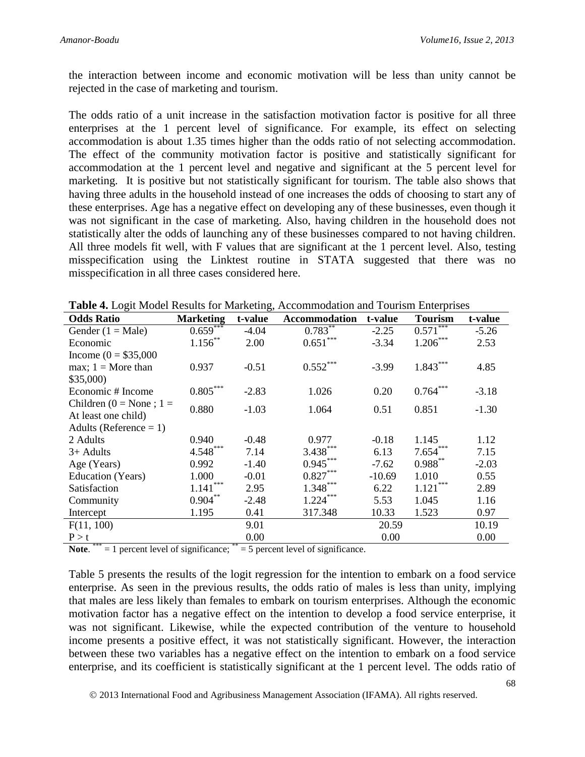the interaction between income and economic motivation will be less than unity cannot be rejected in the case of marketing and tourism.

The odds ratio of a unit increase in the satisfaction motivation factor is positive for all three enterprises at the 1 percent level of significance. For example, its effect on selecting accommodation is about 1.35 times higher than the odds ratio of not selecting accommodation. The effect of the community motivation factor is positive and statistically significant for accommodation at the 1 percent level and negative and significant at the 5 percent level for marketing. It is positive but not statistically significant for tourism. The table also shows that having three adults in the household instead of one increases the odds of choosing to start any of these enterprises. Age has a negative effect on developing any of these businesses, even though it was not significant in the case of marketing. Also, having children in the household does not statistically alter the odds of launching any of these businesses compared to not having children. All three models fit well, with F values that are significant at the 1 percent level. Also, testing misspecification using the Linktest routine in STATA suggested that there was no misspecification in all three cases considered here.

| <b>Odds Ratio</b>             | <b>Marketing</b> | 0,<br>t-value | <b>Accommodation</b> | t-value  | <b>Tourism</b> | t-value |
|-------------------------------|------------------|---------------|----------------------|----------|----------------|---------|
| Gender $(1 = Male)$           | $0.659***$       | $-4.04$       | $0.783***$           | $-2.25$  | $0.571***$     | $-5.26$ |
| Economic                      | $1.156***$       | 2.00          | $0.651***$           | $-3.34$  | $1.206***$     | 2.53    |
| Income $(0 = $35,000$         |                  |               |                      |          |                |         |
| max; $1 =$ More than          | 0.937            | $-0.51$       | $0.552***$           | $-3.99$  | $1.843***$     | 4.85    |
| \$35,000                      |                  |               |                      |          |                |         |
| Economic # Income             | $0.805***$       | $-2.83$       | 1.026                | 0.20     | $0.764***$     | $-3.18$ |
| Children ( $0 = None$ ; $1 =$ | 0.880            | $-1.03$       | 1.064                | 0.51     | 0.851          | $-1.30$ |
| At least one child)           |                  |               |                      |          |                |         |
| Adults (Reference $= 1$ )     |                  |               |                      |          |                |         |
| 2 Adults                      | 0.940            | $-0.48$       | 0.977                | $-0.18$  | 1.145          | 1.12    |
| $3+$ Adults                   | $4.548***$       | 7.14          | $3.438***$           | 6.13     | $7.654***$     | 7.15    |
| Age (Years)                   | 0.992            | $-1.40$       | $0.945***$           | $-7.62$  | $0.988***$     | $-2.03$ |
| Education (Years)             | 1.000            | $-0.01$       | $0.827***$           | $-10.69$ | 1.010          | 0.55    |
| Satisfaction                  | $1.141***$       | 2.95          | $1.348***$           | 6.22     | $1.121***$     | 2.89    |
| Community                     | $0.904***$       | $-2.48$       | $1.224***$           | 5.53     | 1.045          | 1.16    |
| Intercept                     | 1.195            | 0.41          | 317.348              | 10.33    | 1.523          | 0.97    |
| F(11, 100)                    |                  | 9.01          |                      | 20.59    |                | 10.19   |
| P > t                         |                  | 0.00          |                      | 0.00     |                | 0.00    |

**Table 4.** Logit Model Results for Marketing, Accommodation and Tourism Enterprises

**Note.**  $*** = 1$  percent level of significance;  $* = 5$  percent level of significance.

Table 5 presents the results of the logit regression for the intention to embark on a food service enterprise. As seen in the previous results, the odds ratio of males is less than unity, implying that males are less likely than females to embark on tourism enterprises. Although the economic motivation factor has a negative effect on the intention to develop a food service enterprise, it was not significant. Likewise, while the expected contribution of the venture to household income presents a positive effect, it was not statistically significant. However, the interaction between these two variables has a negative effect on the intention to embark on a food service enterprise, and its coefficient is statistically significant at the 1 percent level. The odds ratio of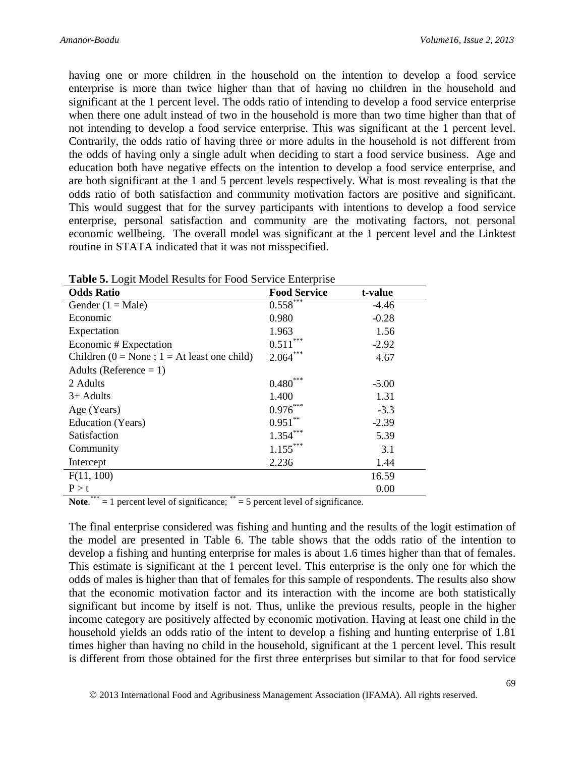having one or more children in the household on the intention to develop a food service enterprise is more than twice higher than that of having no children in the household and significant at the 1 percent level. The odds ratio of intending to develop a food service enterprise when there one adult instead of two in the household is more than two time higher than that of not intending to develop a food service enterprise. This was significant at the 1 percent level. Contrarily, the odds ratio of having three or more adults in the household is not different from the odds of having only a single adult when deciding to start a food service business. Age and education both have negative effects on the intention to develop a food service enterprise, and are both significant at the 1 and 5 percent levels respectively. What is most revealing is that the odds ratio of both satisfaction and community motivation factors are positive and significant. This would suggest that for the survey participants with intentions to develop a food service enterprise, personal satisfaction and community are the motivating factors, not personal economic wellbeing. The overall model was significant at the 1 percent level and the Linktest routine in STATA indicated that it was not misspecified.

| <b>Odds Ratio</b>                                  | <b>Food Service</b> | t-value |
|----------------------------------------------------|---------------------|---------|
| Gender $(1 = Male)$                                | 0.558               | $-4.46$ |
| Economic                                           | 0.980               | $-0.28$ |
| Expectation                                        | 1.963               | 1.56    |
| Economic # Expectation                             | 0.511               | $-2.92$ |
| Children ( $0 = None$ ; $1 = At least one child$ ) | ***<br>2.064        | 4.67    |
| Adults (Reference $= 1$ )                          |                     |         |
| 2 Adults                                           | 0.480               | $-5.00$ |
| $3+$ Adults                                        | 1.400               | 1.31    |
| Age (Years)                                        | 0.976               | $-3.3$  |
| Education (Years)                                  | $0.951***$          | $-2.39$ |
| Satisfaction                                       | $1.354***$          | 5.39    |
| Community                                          | $1.155***$          | 3.1     |
| Intercept                                          | 2.236               | 1.44    |
| F(11, 100)                                         |                     | 16.59   |
| P > t                                              |                     | 0.00    |

**Table 5.** Logit Model Results for Food Service Enterprise

Note.<sup>\*\*\*</sup> = 1 percent level of significance;  $*$ <sup>\*\*</sup> = 5 percent level of significance.

The final enterprise considered was fishing and hunting and the results of the logit estimation of the model are presented in Table 6. The table shows that the odds ratio of the intention to develop a fishing and hunting enterprise for males is about 1.6 times higher than that of females. This estimate is significant at the 1 percent level. This enterprise is the only one for which the odds of males is higher than that of females for this sample of respondents. The results also show that the economic motivation factor and its interaction with the income are both statistically significant but income by itself is not. Thus, unlike the previous results, people in the higher income category are positively affected by economic motivation. Having at least one child in the household yields an odds ratio of the intent to develop a fishing and hunting enterprise of 1.81 times higher than having no child in the household, significant at the 1 percent level. This result is different from those obtained for the first three enterprises but similar to that for food service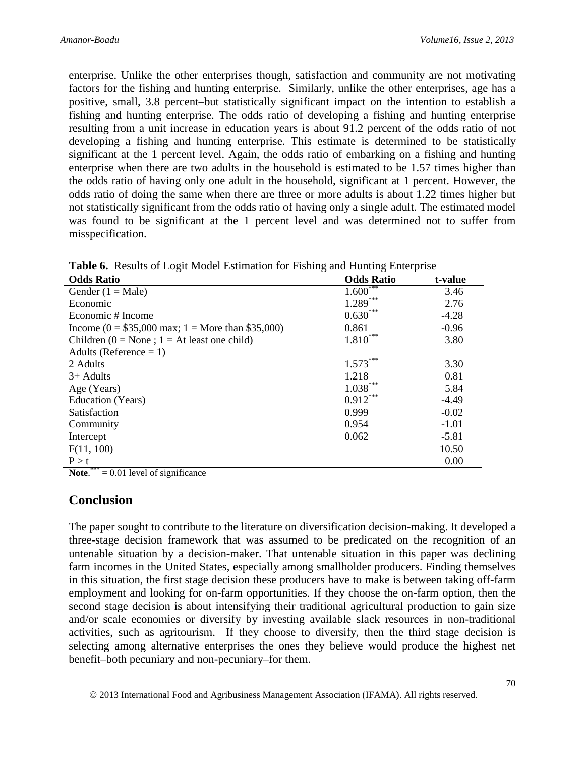enterprise. Unlike the other enterprises though, satisfaction and community are not motivating factors for the fishing and hunting enterprise. Similarly, unlike the other enterprises, age has a positive, small, 3.8 percent–but statistically significant impact on the intention to establish a fishing and hunting enterprise. The odds ratio of developing a fishing and hunting enterprise resulting from a unit increase in education years is about 91.2 percent of the odds ratio of not developing a fishing and hunting enterprise. This estimate is determined to be statistically significant at the 1 percent level. Again, the odds ratio of embarking on a fishing and hunting enterprise when there are two adults in the household is estimated to be 1.57 times higher than the odds ratio of having only one adult in the household, significant at 1 percent. However, the odds ratio of doing the same when there are three or more adults is about 1.22 times higher but not statistically significant from the odds ratio of having only a single adult. The estimated model was found to be significant at the 1 percent level and was determined not to suffer from misspecification.

|  | Table 6. Results of Logit Model Estimation for Fishing and Hunting Enterprise |  |  |
|--|-------------------------------------------------------------------------------|--|--|
|  |                                                                               |  |  |

| <b>Odds Ratio</b>                                  | <b>Odds Ratio</b>      | t-value |
|----------------------------------------------------|------------------------|---------|
| Gender $(1 = Male)$                                | $1.600^{\ast\ast\ast}$ | 3.46    |
| Economic                                           | 1.289                  | 2.76    |
| Economic # Income                                  | $0.630***$             | $-4.28$ |
| Income (0 = $$35,000$ max; 1 = More than \$35,000) | 0.861                  | $-0.96$ |
| Children (0 = None; $1 = At$ least one child)      | $1.810***$             | 3.80    |
| Adults (Reference $= 1$ )                          |                        |         |
| 2 Adults                                           | 1.573                  | 3.30    |
| $3+$ Adults                                        | 1.218                  | 0.81    |
| Age (Years)                                        | 1.038                  | 5.84    |
| Education (Years)                                  | $0.912***$             | $-4.49$ |
| Satisfaction                                       | 0.999                  | $-0.02$ |
| Community                                          | 0.954                  | $-1.01$ |
| Intercept                                          | 0.062                  | $-5.81$ |
| F(11, 100)                                         |                        | 10.50   |
| P > t                                              |                        | 0.00    |

Note.<sup>\*\*\*</sup> = 0.01 level of significance

### **Conclusion**

The paper sought to contribute to the literature on diversification decision-making. It developed a three-stage decision framework that was assumed to be predicated on the recognition of an untenable situation by a decision-maker. That untenable situation in this paper was declining farm incomes in the United States, especially among smallholder producers. Finding themselves in this situation, the first stage decision these producers have to make is between taking off-farm employment and looking for on-farm opportunities. If they choose the on-farm option, then the second stage decision is about intensifying their traditional agricultural production to gain size and/or scale economies or diversify by investing available slack resources in non-traditional activities, such as agritourism. If they choose to diversify, then the third stage decision is selecting among alternative enterprises the ones they believe would produce the highest net benefit–both pecuniary and non-pecuniary–for them.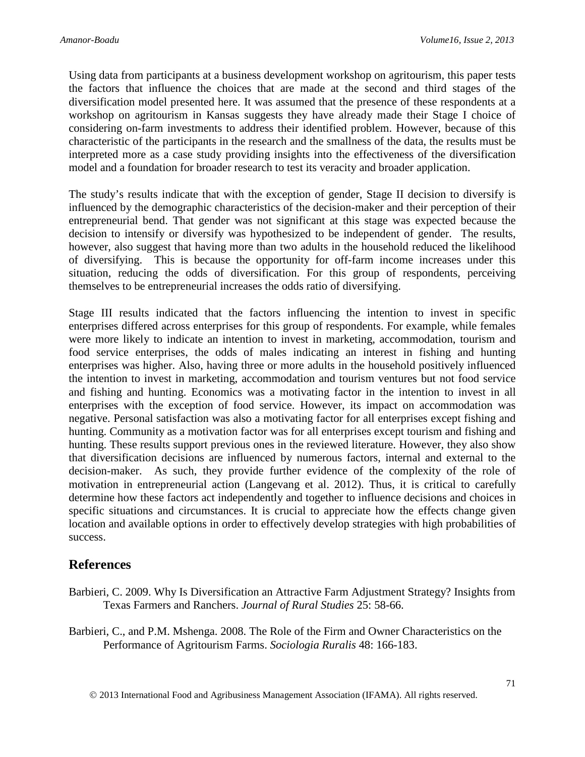Using data from participants at a business development workshop on agritourism, this paper tests the factors that influence the choices that are made at the second and third stages of the diversification model presented here. It was assumed that the presence of these respondents at a workshop on agritourism in Kansas suggests they have already made their Stage I choice of considering on-farm investments to address their identified problem. However, because of this characteristic of the participants in the research and the smallness of the data, the results must be interpreted more as a case study providing insights into the effectiveness of the diversification model and a foundation for broader research to test its veracity and broader application.

The study's results indicate that with the exception of gender, Stage II decision to diversify is influenced by the demographic characteristics of the decision-maker and their perception of their entrepreneurial bend. That gender was not significant at this stage was expected because the decision to intensify or diversify was hypothesized to be independent of gender. The results, however, also suggest that having more than two adults in the household reduced the likelihood of diversifying. This is because the opportunity for off-farm income increases under this situation, reducing the odds of diversification. For this group of respondents, perceiving themselves to be entrepreneurial increases the odds ratio of diversifying.

Stage III results indicated that the factors influencing the intention to invest in specific enterprises differed across enterprises for this group of respondents. For example, while females were more likely to indicate an intention to invest in marketing, accommodation, tourism and food service enterprises, the odds of males indicating an interest in fishing and hunting enterprises was higher. Also, having three or more adults in the household positively influenced the intention to invest in marketing, accommodation and tourism ventures but not food service and fishing and hunting. Economics was a motivating factor in the intention to invest in all enterprises with the exception of food service. However, its impact on accommodation was negative. Personal satisfaction was also a motivating factor for all enterprises except fishing and hunting. Community as a motivation factor was for all enterprises except tourism and fishing and hunting. These results support previous ones in the reviewed literature. However, they also show that diversification decisions are influenced by numerous factors, internal and external to the decision-maker. As such, they provide further evidence of the complexity of the role of motivation in entrepreneurial action (Langevang et al. 2012). Thus, it is critical to carefully determine how these factors act independently and together to influence decisions and choices in specific situations and circumstances. It is crucial to appreciate how the effects change given location and available options in order to effectively develop strategies with high probabilities of success.

### **References**

- Barbieri, C. 2009. Why Is Diversification an Attractive Farm Adjustment Strategy? Insights from Texas Farmers and Ranchers. *Journal of Rural Studies* 25: 58-66.
- Barbieri, C., and P.M. Mshenga. 2008. The Role of the Firm and Owner Characteristics on the Performance of Agritourism Farms. *Sociologia Ruralis* 48: 166-183.

2013 International Food and Agribusiness Management Association (IFAMA). All rights reserved.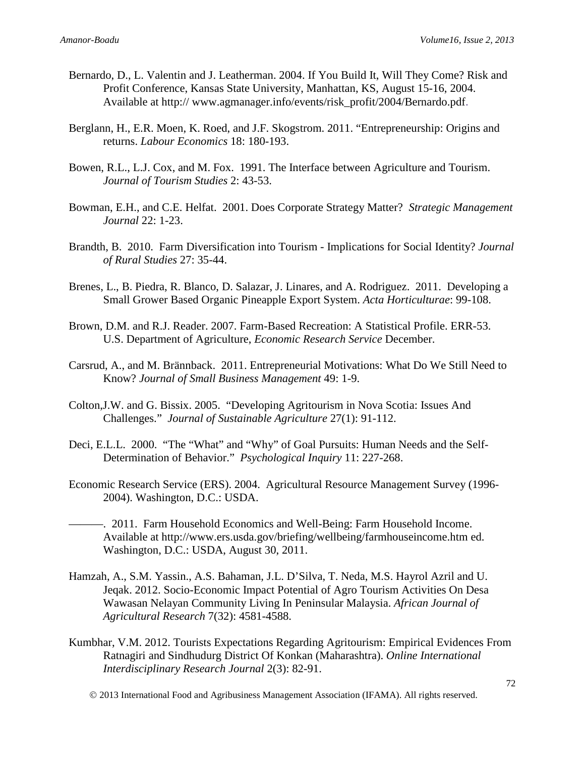- Bernardo, D., L. Valentin and J. Leatherman. 2004. If You Build It, Will They Come? Risk and Profit Conference, Kansas State University, Manhattan, KS, August 15-16, 2004. Available at http:// [www.agmanager.info/events/risk\\_profit/2004/B](http://www.agmanager.info/events/risk_profit/2004/)ernardo.pdf.
- Berglann, H., E.R. Moen, K. Roed, and J.F. Skogstrom. 2011. "Entrepreneurship: Origins and returns. *Labour Economics* 18: 180-193.
- Bowen, R.L., L.J. Cox, and M. Fox. 1991. The Interface between Agriculture and Tourism. *Journal of Tourism Studies* 2: 43-53.
- Bowman, E.H., and C.E. Helfat. 2001. Does Corporate Strategy Matter? *Strategic Management Journal* 22: 1-23.
- Brandth, B. 2010. Farm Diversification into Tourism Implications for Social Identity? *Journal of Rural Studies* 27: 35-44.
- Brenes, L., B. Piedra, R. Blanco, D. Salazar, J. Linares, and A. Rodriguez. 2011. Developing a Small Grower Based Organic Pineapple Export System. *Acta Horticulturae*: 99-108.
- Brown, D.M. and R.J. Reader. 2007. Farm-Based Recreation: A Statistical Profile. ERR-53. U.S. Department of Agriculture, *Economic Research Service* December.
- Carsrud, A., and M. Brännback. 2011. Entrepreneurial Motivations: What Do We Still Need to Know? *Journal of Small Business Management* 49: 1-9.
- Colton,J.W. and G. Bissix. 2005. "Developing Agritourism in Nova Scotia: Issues And Challenges." *Journal of Sustainable Agriculture* 27(1): 91-112.
- Deci, E.L.L. 2000. "The "What" and "Why" of Goal Pursuits: Human Needs and the Self-Determination of Behavior." *Psychological Inquiry* 11: 227-268.
- Economic Research Service (ERS). 2004. Agricultural Resource Management Survey (1996- 2004). Washington, D.C.: USDA.
- ———. 2011. Farm Household Economics and Well-Being: Farm Household Income. Available at http://www.ers.usda.gov/briefing/wellbeing/farmhouseincome.htm ed. Washington, D.C.: USDA, August 30, 2011.
- Hamzah, A., S.M. Yassin., A.S. Bahaman, J.L. D'Silva, T. Neda, M.S. Hayrol Azril and U. Jeqak. 2012. Socio-Economic Impact Potential of Agro Tourism Activities On Desa Wawasan Nelayan Community Living In Peninsular Malaysia. *African Journal of Agricultural Research* 7(32): 4581-4588.
- Kumbhar, V.M. 2012. Tourists Expectations Regarding Agritourism: Empirical Evidences From Ratnagiri and Sindhudurg District Of Konkan (Maharashtra). *Online International Interdisciplinary Research Journal* 2(3): 82-91.
	- 2013 International Food and Agribusiness Management Association (IFAMA). All rights reserved.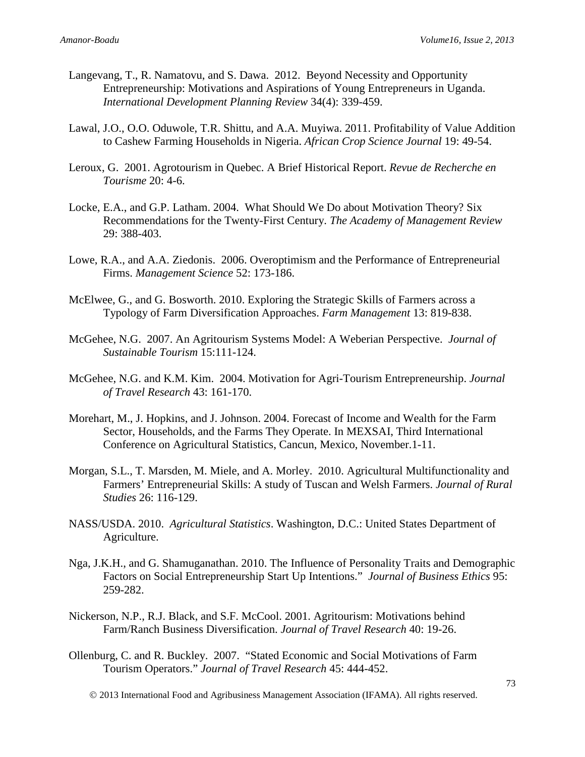- Langevang, T., R. Namatovu, and S. Dawa. 2012. Beyond Necessity and Opportunity Entrepreneurship: Motivations and Aspirations of Young Entrepreneurs in Uganda. *International Development Planning Review* 34(4): 339-459.
- Lawal, J.O., O.O. Oduwole, T.R. Shittu, and A.A. Muyiwa. 2011. Profitability of Value Addition to Cashew Farming Households in Nigeria. *African Crop Science Journal* 19: 49-54.
- Leroux, G. 2001. Agrotourism in Quebec. A Brief Historical Report. *Revue de Recherche en Tourisme* 20: 4-6.
- Locke, E.A., and G.P. Latham. 2004. What Should We Do about Motivation Theory? Six Recommendations for the Twenty-First Century. *The Academy of Management Review* 29: 388-403.
- Lowe, R.A., and A.A. Ziedonis. 2006. Overoptimism and the Performance of Entrepreneurial Firms. *Management Science* 52: 173-186.
- McElwee, G., and G. Bosworth. 2010. Exploring the Strategic Skills of Farmers across a Typology of Farm Diversification Approaches. *Farm Management* 13: 819-838.
- McGehee, N.G. 2007. An Agritourism Systems Model: A Weberian Perspective. *Journal of Sustainable Tourism* 15:111-124.
- McGehee, N.G. and K.M. Kim. 2004. Motivation for Agri-Tourism Entrepreneurship. *Journal of Travel Research* 43: 161-170.
- Morehart, M., J. Hopkins, and J. Johnson. 2004. Forecast of Income and Wealth for the Farm Sector, Households, and the Farms They Operate. In MEXSAI, Third International Conference on Agricultural Statistics, Cancun, Mexico, November.1-11.
- Morgan, S.L., T. Marsden, M. Miele, and A. Morley. 2010. Agricultural Multifunctionality and Farmers' Entrepreneurial Skills: A study of Tuscan and Welsh Farmers. *Journal of Rural Studies* 26: 116-129.
- NASS/USDA. 2010. *Agricultural Statistics*. Washington, D.C.: United States Department of Agriculture.
- Nga, J.K.H., and G. Shamuganathan. 2010. The Influence of Personality Traits and Demographic Factors on Social Entrepreneurship Start Up Intentions." *Journal of Business Ethics* 95: 259-282.
- Nickerson, N.P., R.J. Black, and S.F. McCool. 2001. Agritourism: Motivations behind Farm/Ranch Business Diversification. *Journal of Travel Research* 40: 19-26.
- Ollenburg, C. and R. Buckley. 2007. "Stated Economic and Social Motivations of Farm Tourism Operators." *Journal of Travel Research* 45: 444-452.

2013 International Food and Agribusiness Management Association (IFAMA). All rights reserved.